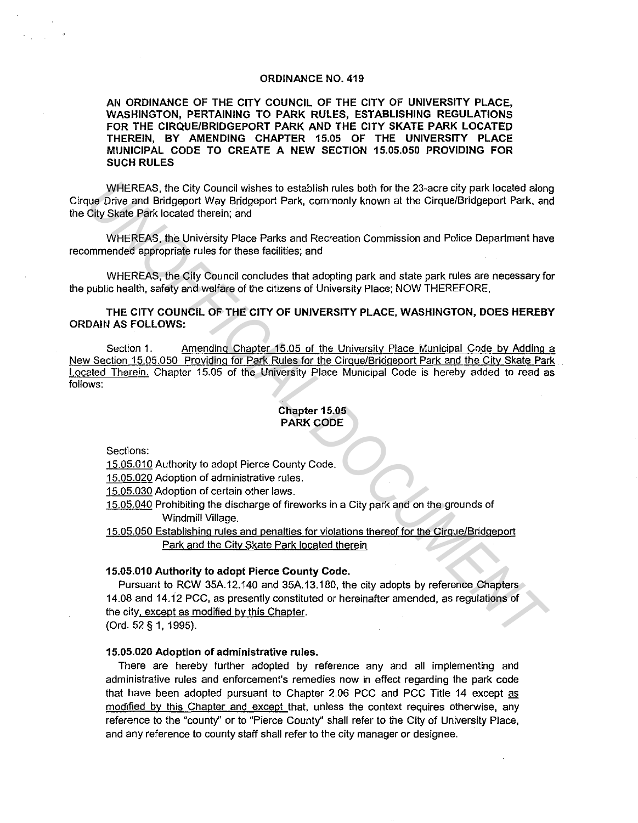#### ORDINANCE NO. 419

AN ORDINANCE OF THE CITY COUNCIL OF THE CITY OF UNIVERSITY PLACE, WASHINGTON, PERTAINING TO PARK RULES, ESTABLISHING REGULATIONS FOR THE CIRQUE/BRIDGEPORT PARK AND THE CITY SKATE PARK LOCATED THEREIN, BY AMENDING CHAPTER 15.05 OF THE UNIVERSITY PLACE MUNICIPAL CODE TO CREATE A NEW SECTION 15.05.050 PROVIDING FOR SUCH RULES

WHEREAS, the City Council wishes to establish rules both for the 23-acre city park located along Cirque Drive and Bridgeport Way Bridgeport Park, commonly known at the Cirque/Bridgeport Park, and the City Skate Park located therein; and

WHEREAS, the University Place Parks and Recreation Commission and Police Department have recommended appropriate rules for these facilities; and

WHEREAS, the City Council concludes that adopting park and state park rules are necessary for the public health, safety and welfare of the citizens of University Place; NOW THEREFORE,

THE CITY COUNCIL OF THE CITY OF UNIVERSITY PLACE, WASHINGTON, DOES HEREBY ORDAIN AS FOLLOWS:

Section 1. Amending Chapter 15.05 of the University Place Municipal Code by Adding a New Section 15.05.050 Providing for Park Rules for the Cirque/Bridgeport Park and the City Skate Park Located Therein. Chapter 15.05 of the University Place Municipal Code is hereby added to read as follows: WHEREAS, the City Council wishes to establish rules both for the 23-acre city park located along<br>
Uny Drive and Bridgeport Park, commonly known at the CircumBridgeport Park, and<br>
Ocly Skatle Park located them and<br>
WHEREAS,

### Chapter 15.05 PARK CODE

**Sections:** 

15.05.010 Authority to adopt Pierce County Code.

15.05.020 Adoption of administrative rules.

15.05.030 Adoption of certain other laws.

15.05.040 Prohibiting the discharge of fireworks in a City park and on the grounds of Windmill Village.

15.05.050 Establishing rules and penalties for violations thereof for the Cirque/Bridgeport Park and the City Skate Park located therein

### 15.05.010 Authority to adopt Pierce County Code.

Pursuant to RCW 35A.12.140 and 35A.13.180, the city adopts by reference Chapters 14.08 and 14.12 PCC, as presently constituted or hereinafter amended, as regulations of the city, except as modified by this Chapter.

(Ord. 52 § 1, 1995).

### 15.05.020 Adoption of administrative rules.

There are hereby further adopted by reference any and all implementing and administrative rules and enforcement's remedies now in effect regarding the park code that have been adopted pursuant to Chapter 2.06 PCC and PCC Title 14 except as modified by this Chapter and except that, unless the context requires otherwise, any reference to the "county" or to "Pierce County" shall refer to the City of University Place, and any reference to county staff shall refer to the city manager or designee.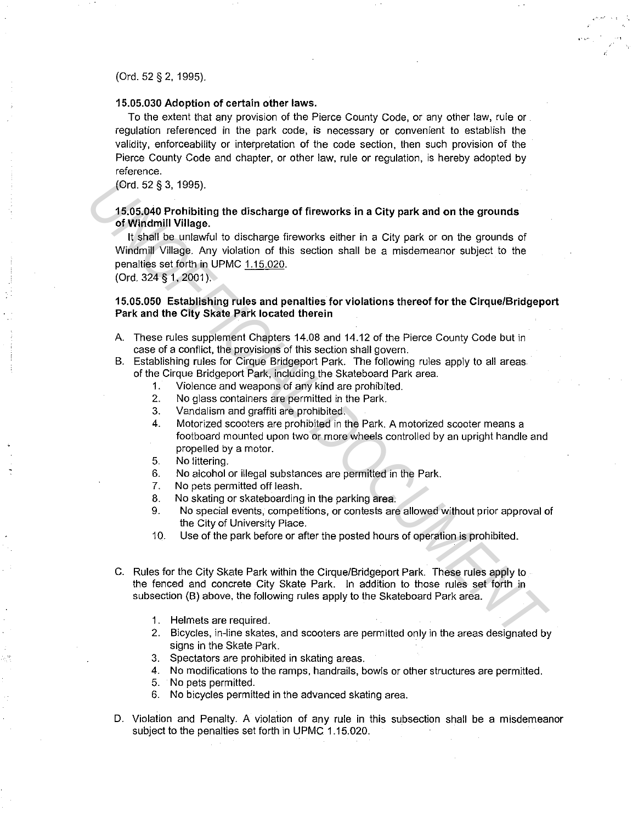(Ord. 52 § 2. 1995).

## **15.05.030 Adoption of certain other laws.**

To the extent that any provision of the Pierce County Code, or any other law, rule or regulation referenced in the park code, is necessary or convenient to establish the validity, enforceability or interpretation of the code section. then such provision of the Pierce County Code and chapter, or other law, rule or regulation, is hereby adopted by reference.

(Ord. 52 § 3, 1995).

# **15.05.040 Prohibiting the discharge of fireworks in a City park and on the grounds of Windmill Village.**

It shall be unlawful to discharge fireworks either in a City park or on the grounds of Windmill Village. Any violation of this section shall be a misdemeanor subject to the penalties set forth in UPMC 1.15.020. (Ord. 52 § 3, 1995).<br> **1505,040 Prohibiting the discharge of fireworks in a City park and on the grounds of Windmill Village.**<br> **U. shall be unlevely** to discharge fireworks either in a City park or on the grounds of Windm

(Ord. 324 § **1,** 2001 ).

# **15.05.050 Establishing rules and penalties for violations thereof for the Cirque/Bridgeport Park and the City Skate Park located therein**

- A. These rules supplement Chapters 14.08 and 14.12 of the Pierce County Code but in case of a conflict, the provisions of this section shall govern.
- B. Establishing rules for Cirque Bridgeport Park. The following rules apply to all areas of the Cirque Bridgeport Park, including the Skateboard Park area.
	- 1. Violence and weapons of any kind are prohibited.
	- 2. No glass containers are permitted in the Park.
	- 3. Vandalism and graffiti are prohibited.
	- 4. Motorized scooters are prohibited in the Park. A motorized scooter means a footboard mounted upon two or more wheels controlled by an upright handle and propelled by a motor.
	- 5. No littering.
	- 6. No alcohol or illegal substances are permitted in the Park.
	- 7. No pets permitted off leash.
	- 8. No skating or skateboarding in the parking area.
	- 9. No special events, competitions, or contests are allowed without prior approval of the City of University Place.
	- 10. Use of the park before or after the posted hours of operation is prohibited.
- C. Rules for the City Skate Park within the Cirque/Bridgeport Park. These rules apply to the fenced and concrete City Skate Park. In addition to those rules set forth in subsection (B) above. the following rules apply to the Skateboard Park area.
	- 1. Helmets are required.
	- 2. Bicycles. in-line skates. and scooters are permitted only in the areas designated by signs in the Skate Park.
	- 3. Spectators are prohibited in skating areas.
	- 4. No modifications to the ramps. handrails, bowls or other structures are permitted.
	- 5. No pets permitted.
	- 6. No bicycles permitted in the advanced skating area.
- D. Violation and Penalty. A violation of any rule in this subsection shall be a misdemeanor subject to the penalties set forth in UPMC 1.15.020.